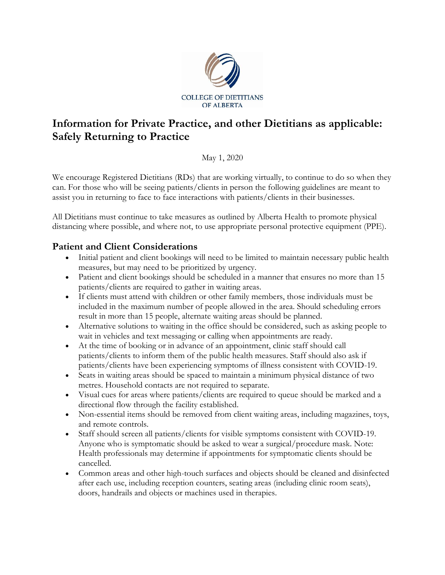

## **Information for Private Practice, and other Dietitians as applicable: Safely Returning to Practice**

May 1, 2020

We encourage Registered Dietitians (RDs) that are working virtually, to continue to do so when they can. For those who will be seeing patients/clients in person the following guidelines are meant to assist you in returning to face to face interactions with patients/clients in their businesses.

All Dietitians must continue to take measures as outlined by Alberta Health to promote physical distancing where possible, and where not, to use appropriate personal protective equipment (PPE).

## **Patient and Client Considerations**

- Initial patient and client bookings will need to be limited to maintain necessary public health measures, but may need to be prioritized by urgency.
- Patient and client bookings should be scheduled in a manner that ensures no more than 15 patients/clients are required to gather in waiting areas.
- If clients must attend with children or other family members, those individuals must be included in the maximum number of people allowed in the area. Should scheduling errors result in more than 15 people, alternate waiting areas should be planned.
- Alternative solutions to waiting in the office should be considered, such as asking people to wait in vehicles and text messaging or calling when appointments are ready.
- At the time of booking or in advance of an appointment, clinic staff should call patients/clients to inform them of the public health measures. Staff should also ask if patients/clients have been experiencing symptoms of illness consistent with COVID-19.
- Seats in waiting areas should be spaced to maintain a minimum physical distance of two metres. Household contacts are not required to separate.
- Visual cues for areas where patients/clients are required to queue should be marked and a directional flow through the facility established.
- Non-essential items should be removed from client waiting areas, including magazines, toys, and remote controls.
- Staff should screen all patients/clients for visible symptoms consistent with COVID-19. Anyone who is symptomatic should be asked to wear a surgical/procedure mask. Note: Health professionals may determine if appointments for symptomatic clients should be cancelled.
- Common areas and other high-touch surfaces and objects should be cleaned and disinfected after each use, including reception counters, seating areas (including clinic room seats), doors, handrails and objects or machines used in therapies.